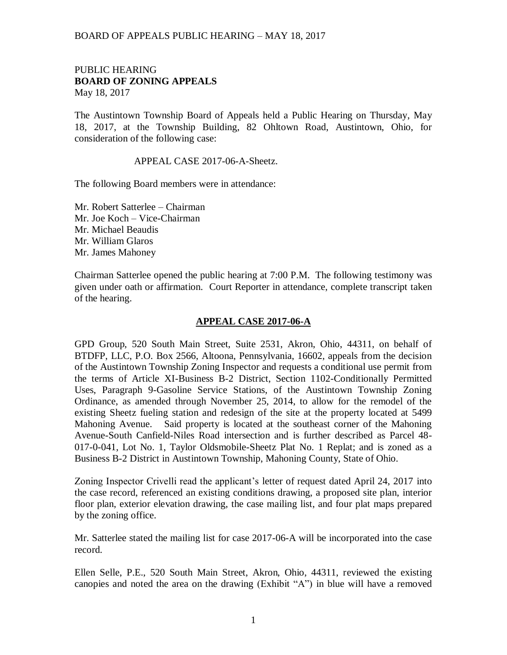## PUBLIC HEARING **BOARD OF ZONING APPEALS**  May 18, 2017

The Austintown Township Board of Appeals held a Public Hearing on Thursday, May 18, 2017, at the Township Building, 82 Ohltown Road, Austintown, Ohio, for consideration of the following case:

## APPEAL CASE 2017-06-A-Sheetz.

The following Board members were in attendance:

Mr. Robert Satterlee – Chairman Mr. Joe Koch – Vice-Chairman Mr. Michael Beaudis Mr. William Glaros Mr. James Mahoney

Chairman Satterlee opened the public hearing at 7:00 P.M. The following testimony was given under oath or affirmation. Court Reporter in attendance, complete transcript taken of the hearing.

## **APPEAL CASE 2017-06-A**

GPD Group, 520 South Main Street, Suite 2531, Akron, Ohio, 44311, on behalf of BTDFP, LLC, P.O. Box 2566, Altoona, Pennsylvania, 16602, appeals from the decision of the Austintown Township Zoning Inspector and requests a conditional use permit from the terms of Article XI-Business B-2 District, Section 1102-Conditionally Permitted Uses, Paragraph 9-Gasoline Service Stations, of the Austintown Township Zoning Ordinance, as amended through November 25, 2014, to allow for the remodel of the existing Sheetz fueling station and redesign of the site at the property located at 5499 Mahoning Avenue. Said property is located at the southeast corner of the Mahoning Avenue-South Canfield-Niles Road intersection and is further described as Parcel 48- 017-0-041, Lot No. 1, Taylor Oldsmobile-Sheetz Plat No. 1 Replat; and is zoned as a Business B-2 District in Austintown Township, Mahoning County, State of Ohio.

Zoning Inspector Crivelli read the applicant's letter of request dated April 24, 2017 into the case record, referenced an existing conditions drawing, a proposed site plan, interior floor plan, exterior elevation drawing, the case mailing list, and four plat maps prepared by the zoning office.

Mr. Satterlee stated the mailing list for case 2017-06-A will be incorporated into the case record.

Ellen Selle, P.E., 520 South Main Street, Akron, Ohio, 44311, reviewed the existing canopies and noted the area on the drawing (Exhibit "A") in blue will have a removed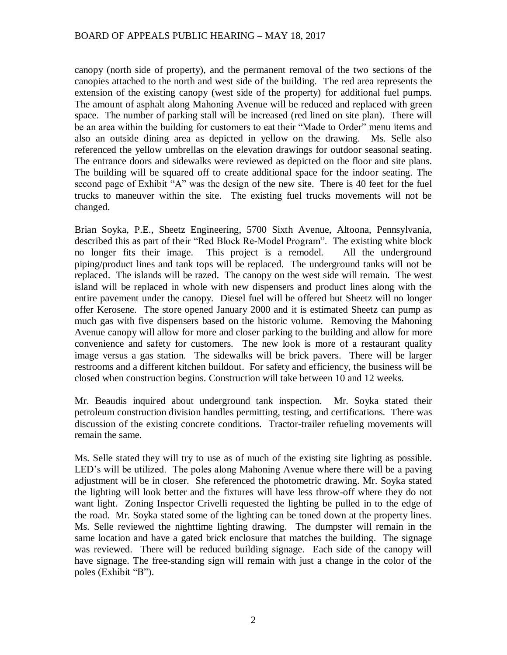canopy (north side of property), and the permanent removal of the two sections of the canopies attached to the north and west side of the building. The red area represents the extension of the existing canopy (west side of the property) for additional fuel pumps. The amount of asphalt along Mahoning Avenue will be reduced and replaced with green space. The number of parking stall will be increased (red lined on site plan). There will be an area within the building for customers to eat their "Made to Order" menu items and also an outside dining area as depicted in yellow on the drawing. Ms. Selle also referenced the yellow umbrellas on the elevation drawings for outdoor seasonal seating. The entrance doors and sidewalks were reviewed as depicted on the floor and site plans. The building will be squared off to create additional space for the indoor seating. The second page of Exhibit "A" was the design of the new site. There is 40 feet for the fuel trucks to maneuver within the site. The existing fuel trucks movements will not be changed.

Brian Soyka, P.E., Sheetz Engineering, 5700 Sixth Avenue, Altoona, Pennsylvania, described this as part of their "Red Block Re-Model Program". The existing white block no longer fits their image. This project is a remodel. All the underground piping/product lines and tank tops will be replaced. The underground tanks will not be replaced. The islands will be razed. The canopy on the west side will remain. The west island will be replaced in whole with new dispensers and product lines along with the entire pavement under the canopy. Diesel fuel will be offered but Sheetz will no longer offer Kerosene. The store opened January 2000 and it is estimated Sheetz can pump as much gas with five dispensers based on the historic volume. Removing the Mahoning Avenue canopy will allow for more and closer parking to the building and allow for more convenience and safety for customers. The new look is more of a restaurant quality image versus a gas station. The sidewalks will be brick pavers. There will be larger restrooms and a different kitchen buildout. For safety and efficiency, the business will be closed when construction begins. Construction will take between 10 and 12 weeks.

Mr. Beaudis inquired about underground tank inspection. Mr. Soyka stated their petroleum construction division handles permitting, testing, and certifications. There was discussion of the existing concrete conditions. Tractor-trailer refueling movements will remain the same.

Ms. Selle stated they will try to use as of much of the existing site lighting as possible. LED's will be utilized. The poles along Mahoning Avenue where there will be a paving adjustment will be in closer. She referenced the photometric drawing. Mr. Soyka stated the lighting will look better and the fixtures will have less throw-off where they do not want light. Zoning Inspector Crivelli requested the lighting be pulled in to the edge of the road. Mr. Soyka stated some of the lighting can be toned down at the property lines. Ms. Selle reviewed the nighttime lighting drawing. The dumpster will remain in the same location and have a gated brick enclosure that matches the building. The signage was reviewed. There will be reduced building signage. Each side of the canopy will have signage. The free-standing sign will remain with just a change in the color of the poles (Exhibit "B").